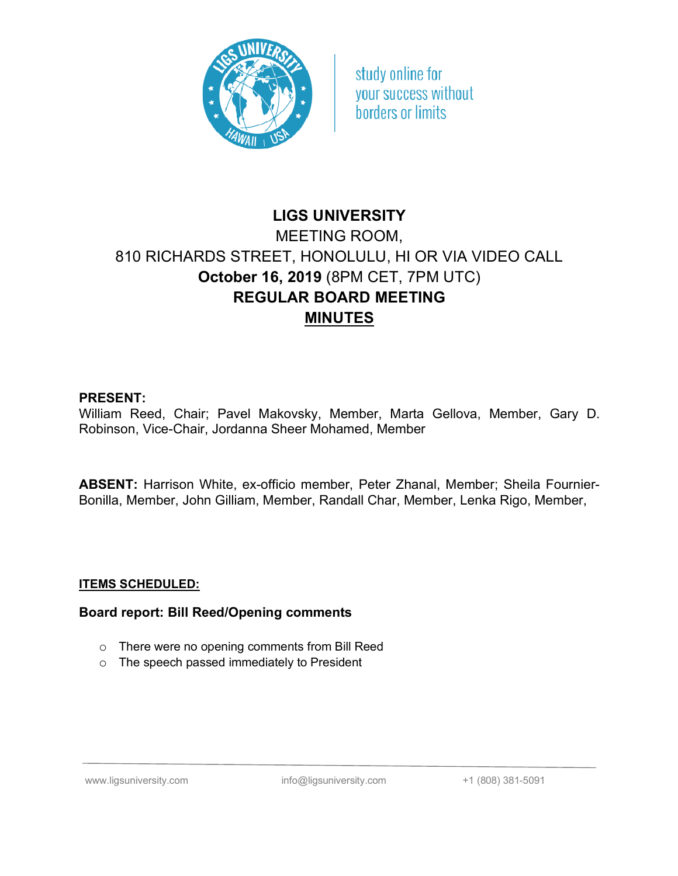

study online for vour success without borders or limits

# **LIGS UNIVERSITY** MEETING ROOM, 810 RICHARDS STREET, HONOLULU, HI OR VIA VIDEO CALL **October 16, 2019** (8PM CET, 7PM UTC) **REGULAR BOARD MEETING MINUTES**

## **PRESENT:**

William Reed, Chair; Pavel Makovsky, Member, Marta Gellova, Member, Gary D. Robinson, Vice-Chair, Jordanna Sheer Mohamed, Member

**ABSENT:** Harrison White, ex-officio member, Peter Zhanal, Member; Sheila Fournier-Bonilla, Member, John Gilliam, Member, Randall Char, Member, Lenka Rigo, Member,

### **ITEMS SCHEDULED:**

### **Board report: Bill Reed/Opening comments**

- o There were no opening comments from Bill Reed
- o The speech passed immediately to President

www.ligsuniversity.com info@ligsuniversity.com +1 (808) 381-5091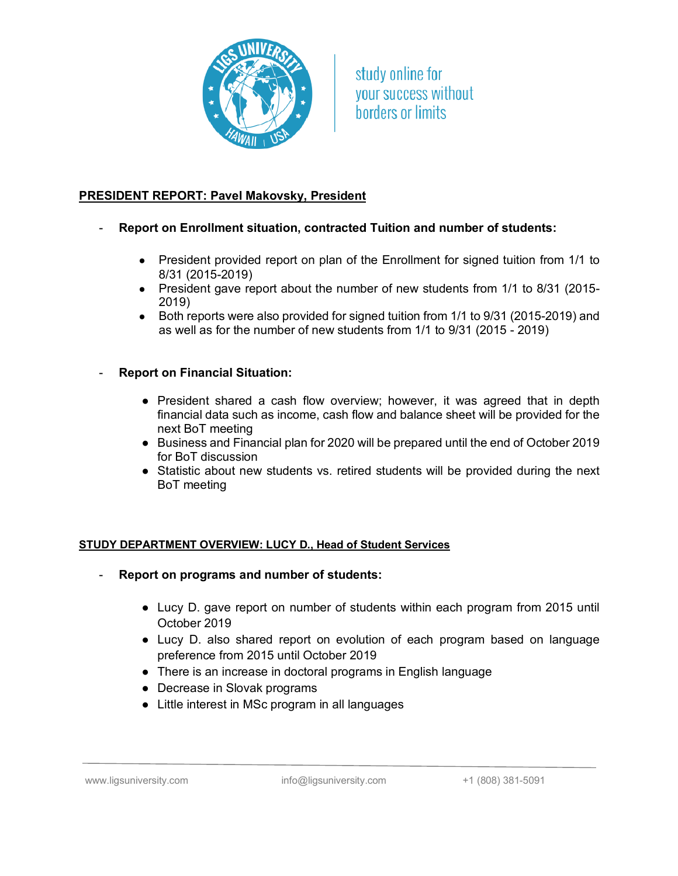

study online for vour success without horders or limits

# **PRESIDENT REPORT: Pavel Makovsky, President**

- **Report on Enrollment situation, contracted Tuition and number of students:**
	- President provided report on plan of the Enrollment for signed tuition from 1/1 to 8/31 (2015-2019)
	- President gave report about the number of new students from 1/1 to 8/31 (2015-2019)
	- Both reports were also provided for signed tuition from 1/1 to 9/31 (2015-2019) and as well as for the number of new students from 1/1 to 9/31 (2015 - 2019)
- **Report on Financial Situation:**
	- President shared a cash flow overview; however, it was agreed that in depth financial data such as income, cash flow and balance sheet will be provided for the next BoT meeting
	- Business and Financial plan for 2020 will be prepared until the end of October 2019 for BoT discussion
	- Statistic about new students vs. retired students will be provided during the next BoT meeting

### **STUDY DEPARTMENT OVERVIEW: LUCY D., Head of Student Services**

- **Report on programs and number of students:**
	- Lucy D. gave report on number of students within each program from 2015 until October 2019
	- Lucy D. also shared report on evolution of each program based on language preference from 2015 until October 2019
	- There is an increase in doctoral programs in English language
	- Decrease in Slovak programs
	- Little interest in MSc program in all languages